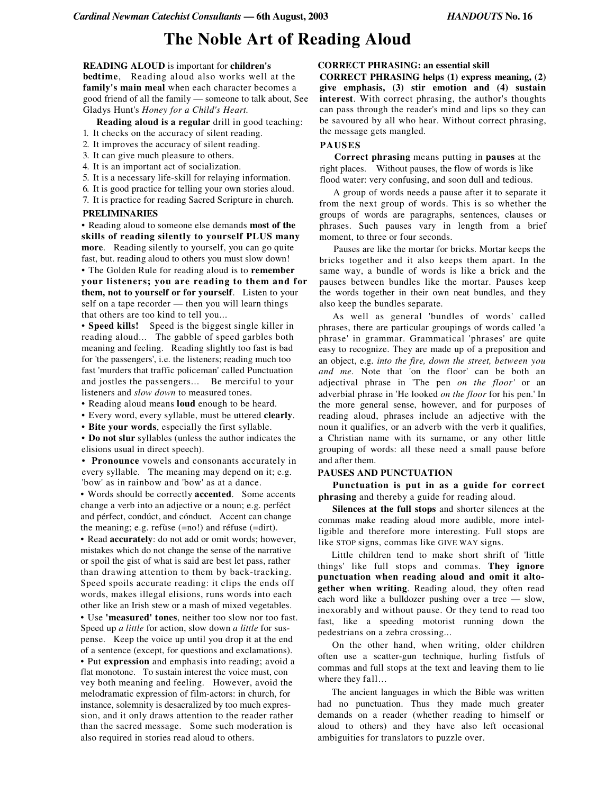# **The Noble Art of Reading Aloud**

## **READING ALOUD** is important for **children's bedtime**, Reading aloud also works well at the **family's main meal** when each character becomes a good friend of all the family — someone to talk about, See Gladys Hunt's *Honey for a Child's Heart.*

**Reading aloud is a regular** drill in good teaching:

- 1. It checks on the accuracy of silent reading.
- 2. It improves the accuracy of silent reading.
- 3. It can give much pleasure to others.
- 4. It is an important act of socialization.
- 5. It is a necessary life-skill for relaying information.
- 6. It is good practice for telling your own stories aloud.
- 7. It is practice for reading Sacred Scripture in church.

#### **PRELIMINARIES**

• Reading aloud to someone else demands **most of the skills of reading silently to yourself PLUS many more**. Reading silently to yourself, you can go quite fast, but. reading aloud to others you must slow down!

• The Golden Rule for reading aloud is to **remember your listeners; you are reading to them and for them, not to yourself or for yourself**. Listen to your self on a tape recorder — then you will learn things that others are too kind to tell you...

• **Speed kills!** Speed is the biggest single killer in reading aloud... The gabble of speed garbles both meaning and feeling. Reading slightly too fast is bad for 'the passengers', i.e. the listeners; reading much too fast 'murders that traffic policeman' called Punctuation and jostles the passengers... Be merciful to your listeners and *slow down* to measured tones.

• Reading aloud means **loud** enough to be heard.

• Every word, every syllable, must be uttered **clearly**.

• **Bite your words**, especially the first syllable.

• **Do not slur** syllables (unless the author indicates the elisions usual in direct speech).

• **Pronounce** vowels and consonants accurately in every syllable. The meaning may depend on it; e.g. 'bow' as in rainbow and 'bow' as at a dance.

• Words should be correctly **accented**. Some accents change a verb into an adjective or a noun; e.g. perféct and pérfect, condúct, and cónduct. Accent can change the meaning; e.g. refùse (=no!) and réfuse (=dirt).

• Read **accurately**: do not add or omit words; however, mistakes which do not change the sense of the narrative or spoil the gist of what is said are best let pass, rather than drawing attention to them by back-tracking. Speed spoils accurate reading: it clips the ends off words, makes illegal elisions, runs words into each other like an Irish stew or a mash of mixed vegetables.

• Use **'measured' tones**, neither too slow nor too fast. Speed up *a little* for action, slow down *a little* for suspense. Keep the voice up until you drop it at the end of a sentence (except, for questions and exclamations). • Put **expression** and emphasis into reading; avoid a flat monotone. To sustain interest the voice must, con vey both meaning and feeling. However, avoid the melodramatic expression of film-actors: in church, for instance, solemnity is desacralized by too much expression, and it only draws attention to the reader rather than the sacred message. Some such moderation is also required in stories read aloud to others.

## **CORRECT PHRASING: an essential skill**

**CORRECT PHRASING helps (1) express meaning, (2) give emphasis, (3) stir emotion and (4) sustain interest**. With correct phrasing, the author's thoughts can pass through the reader's mind and lips so they can be savoured by all who hear. Without correct phrasing, the message gets mangled.

#### **PAUSES**

**Correct phrasing** means putting in **pauses** at the right places. Without pauses, the flow of words is like flood water: very confusing, and soon dull and tedious.

A group of words needs a pause after it to separate it from the next group of words. This is so whether the groups of words are paragraphs, sentences, clauses or phrases. Such pauses vary in length from a brief moment, to three or four seconds.

Pauses are like the mortar for bricks. Mortar keeps the bricks together and it also keeps them apart. In the same way, a bundle of words is like a brick and the pauses between bundles like the mortar. Pauses keep the words together in their own neat bundles, and they also keep the bundles separate.

As well as general 'bundles of words' called phrases, there are particular groupings of words called 'a phrase' in grammar. Grammatical 'phrases' are quite easy to recognize. They are made up of a preposition and an object, e.g. *into the fire, down the street, between you and me.* Note that 'on the floor' can be both an adjectival phrase in 'The pen *on the floor'* or an adverbial phrase in 'He looked *on the floor* for his pen.' In the more general sense, however, and for purposes of reading aloud, phrases include an adjective with the noun it qualifies, or an adverb with the verb it qualifies, a Christian name with its surname, or any other little grouping of words: all these need a small pause before and after them.

#### **PAUSES AND PUNCTUATION**

**Punctuation is put in as a guide for correct phrasing** and thereby a guide for reading aloud.

**Silences at the full stops** and shorter silences at the commas make reading aloud more audible, more intelligible and therefore more interesting. Full stops are like STOP signs, commas like GIVE WAY signs.

Little children tend to make short shrift of 'little things' like full stops and commas. **They ignore punctuation when reading aloud and omit it altogether when writing**. Reading aloud, they often read each word like a bulldozer pushing over a tree — slow, inexorably and without pause. Or they tend to read too fast, like a speeding motorist running down the pedestrians on a zebra crossing...

On the other hand, when writing, older children often use a scatter-gun technique, hurling fistfuls of commas and full stops at the text and leaving them to lie where they fall...

The ancient languages in which the Bible was written had no punctuation. Thus they made much greater demands on a reader (whether reading to himself or aloud to others) and they have also left occasional ambiguities for translators to puzzle over.